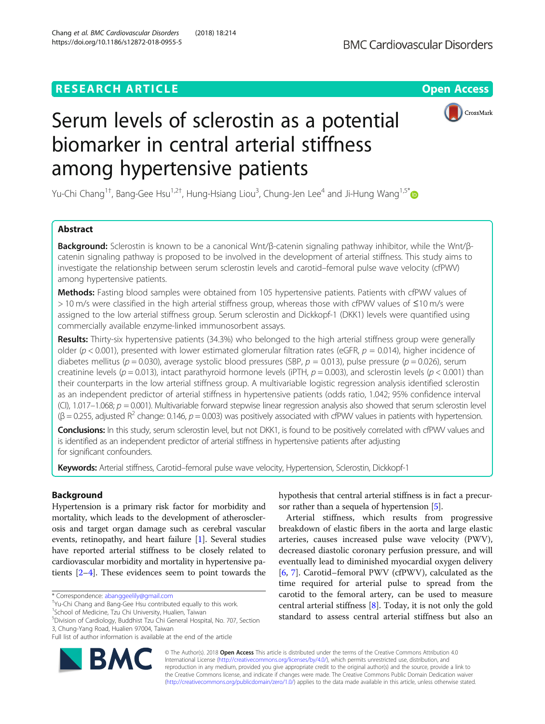## **RESEARCH ARTICLE Example 2018 12:30 THE Open Access**



# Serum levels of sclerostin as a potential biomarker in central arterial stiffness among hypertensive patients

Yu-Chi Chang<sup>1†</sup>, Bang-Gee Hsu<sup>1,2†</sup>, Hung-Hsiang Liou<sup>3</sup>, Chung-Jen Lee<sup>4</sup> and Ji-Hung Wang<sup>1,5[\\*](http://orcid.org/0000-0002-0564-1726)</sup>

## Abstract

Background: Sclerostin is known to be a canonical Wnt/β-catenin signaling pathway inhibitor, while the Wnt/βcatenin signaling pathway is proposed to be involved in the development of arterial stiffness. This study aims to investigate the relationship between serum sclerostin levels and carotid–femoral pulse wave velocity (cfPWV) among hypertensive patients.

Methods: Fasting blood samples were obtained from 105 hypertensive patients. Patients with cfPWV values of > 10 m/s were classified in the high arterial stiffness group, whereas those with cfPWV values of ≤10 m/s were assigned to the low arterial stiffness group. Serum sclerostin and Dickkopf-1 (DKK1) levels were quantified using commercially available enzyme-linked immunosorbent assays.

Results: Thirty-six hypertensive patients (34.3%) who belonged to the high arterial stiffness group were generally older ( $p$  < 0.001), presented with lower estimated glomerular filtration rates (eGFR,  $p = 0.014$ ), higher incidence of diabetes mellitus (p = 0.030), average systolic blood pressures (SBP,  $p = 0.013$ ), pulse pressure (p = 0.026), serum creatinine levels ( $p = 0.013$ ), intact parathyroid hormone levels (iPTH,  $p = 0.003$ ), and sclerostin levels ( $p < 0.001$ ) than their counterparts in the low arterial stiffness group. A multivariable logistic regression analysis identified sclerostin as an independent predictor of arterial stiffness in hypertensive patients (odds ratio, 1.042; 95% confidence interval (CI), 1.017–1.068;  $p = 0.001$ ). Multivariable forward stepwise linear regression analysis also showed that serum sclerostin level  $(\beta = 0.255$ , adjusted R<sup>2</sup> change: 0.146, p = 0.003) was positively associated with cfPWV values in patients with hypertension.

Conclusions: In this study, serum sclerostin level, but not DKK1, is found to be positively correlated with cfPWV values and is identified as an independent predictor of arterial stiffness in hypertensive patients after adjusting for significant confounders.

Keywords: Arterial stiffness, Carotid–femoral pulse wave velocity, Hypertension, Sclerostin, Dickkopf-1

### Background

Hypertension is a primary risk factor for morbidity and mortality, which leads to the development of atherosclerosis and target organ damage such as cerebral vascular events, retinopathy, and heart failure [\[1](#page-6-0)]. Several studies have reported arterial stiffness to be closely related to cardiovascular morbidity and mortality in hypertensive patients [[2](#page-6-0)–[4](#page-6-0)]. These evidences seem to point towards the

<sup>1</sup>School of Medicine, Tzu Chi University, Hualien, Taiwan

Full list of author information is available at the end of the article



hypothesis that central arterial stiffness is in fact a precursor rather than a sequela of hypertension [\[5](#page-6-0)].

Arterial stiffness, which results from progressive breakdown of elastic fibers in the aorta and large elastic arteries, causes increased pulse wave velocity (PWV), decreased diastolic coronary perfusion pressure, and will eventually lead to diminished myocardial oxygen delivery [[6,](#page-6-0) [7](#page-6-0)]. Carotid–femoral PWV (cfPWV), calculated as the time required for arterial pulse to spread from the carotid to the femoral artery, can be used to measure central arterial stiffness [\[8](#page-6-0)]. Today, it is not only the gold standard to assess central arterial stiffness but also an

© The Author(s). 2018 Open Access This article is distributed under the terms of the Creative Commons Attribution 4.0 International License [\(http://creativecommons.org/licenses/by/4.0/](http://creativecommons.org/licenses/by/4.0/)), which permits unrestricted use, distribution, and reproduction in any medium, provided you give appropriate credit to the original author(s) and the source, provide a link to the Creative Commons license, and indicate if changes were made. The Creative Commons Public Domain Dedication waiver [\(http://creativecommons.org/publicdomain/zero/1.0/](http://creativecommons.org/publicdomain/zero/1.0/)) applies to the data made available in this article, unless otherwise stated.

<sup>\*</sup> Correspondence: [abanggeelily@gmail.com](mailto:abanggeelily@gmail.com) †

Yu-Chi Chang and Bang-Gee Hsu contributed equally to this work.

<sup>5</sup> Division of Cardiology, Buddhist Tzu Chi General Hospital, No. 707, Section 3, Chung-Yang Road, Hualien 97004, Taiwan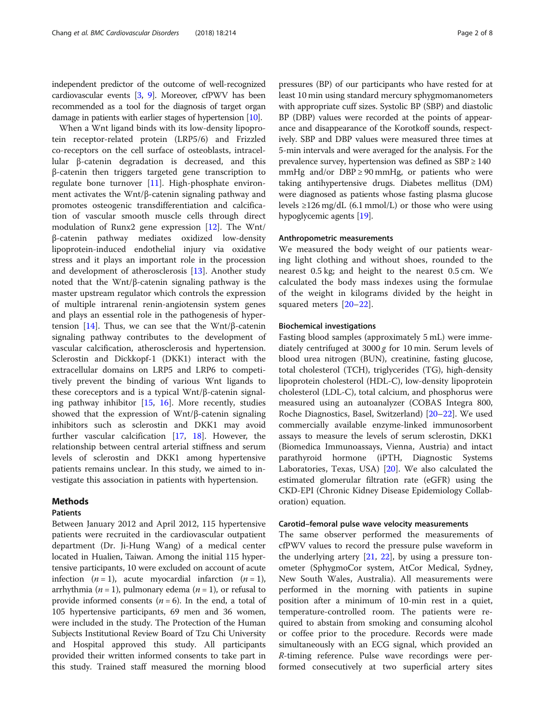independent predictor of the outcome of well-recognized cardiovascular events [\[3,](#page-6-0) [9](#page-6-0)]. Moreover, cfPWV has been recommended as a tool for the diagnosis of target organ damage in patients with earlier stages of hypertension [\[10\]](#page-6-0).

When a Wnt ligand binds with its low-density lipoprotein receptor-related protein (LRP5/6) and Frizzled co-receptors on the cell surface of osteoblasts, intracellular β-catenin degradation is decreased, and this β-catenin then triggers targeted gene transcription to regulate bone turnover [\[11\]](#page-6-0). High-phosphate environment activates the Wnt/β-catenin signaling pathway and promotes osteogenic transdifferentiation and calcification of vascular smooth muscle cells through direct modulation of Runx2 gene expression [[12](#page-6-0)]. The Wnt/ β-catenin pathway mediates oxidized low-density lipoprotein-induced endothelial injury via oxidative stress and it plays an important role in the procession and development of atherosclerosis [[13](#page-6-0)]. Another study noted that the Wnt/β-catenin signaling pathway is the master upstream regulator which controls the expression of multiple intrarenal renin-angiotensin system genes and plays an essential role in the pathogenesis of hyper-tension [\[14\]](#page-6-0). Thus, we can see that the Wnt/β-catenin signaling pathway contributes to the development of vascular calcification, atherosclerosis and hypertension. Sclerostin and Dickkopf-1 (DKK1) interact with the extracellular domains on LRP5 and LRP6 to competitively prevent the binding of various Wnt ligands to these coreceptors and is a typical Wnt/β-catenin signaling pathway inhibitor  $[15, 16]$  $[15, 16]$  $[15, 16]$  $[15, 16]$ . More recently, studies showed that the expression of Wnt/β-catenin signaling inhibitors such as sclerostin and DKK1 may avoid further vascular calcification [[17](#page-6-0), [18](#page-6-0)]. However, the relationship between central arterial stiffness and serum levels of sclerostin and DKK1 among hypertensive patients remains unclear. In this study, we aimed to investigate this association in patients with hypertension.

#### Methods

#### Patients

Between January 2012 and April 2012, 115 hypertensive patients were recruited in the cardiovascular outpatient department (Dr. Ji-Hung Wang) of a medical center located in Hualien, Taiwan. Among the initial 115 hypertensive participants, 10 were excluded on account of acute infection  $(n = 1)$ , acute myocardial infarction  $(n = 1)$ , arrhythmia ( $n = 1$ ), pulmonary edema ( $n = 1$ ), or refusal to provide informed consents ( $n = 6$ ). In the end, a total of 105 hypertensive participants, 69 men and 36 women, were included in the study. The Protection of the Human Subjects Institutional Review Board of Tzu Chi University and Hospital approved this study. All participants provided their written informed consents to take part in this study. Trained staff measured the morning blood pressures (BP) of our participants who have rested for at least 10 min using standard mercury sphygmomanometers with appropriate cuff sizes. Systolic BP (SBP) and diastolic BP (DBP) values were recorded at the points of appearance and disappearance of the Korotkoff sounds, respectively. SBP and DBP values were measured three times at 5-min intervals and were averaged for the analysis. For the prevalence survey, hypertension was defined as  $SBP \ge 140$ mmHg and/or  $DBP \ge 90$  mmHg, or patients who were taking antihypertensive drugs. Diabetes mellitus (DM) were diagnosed as patients whose fasting plasma glucose levels  $\geq$ 126 mg/dL (6.1 mmol/L) or those who were using hypoglycemic agents [\[19\]](#page-6-0).

#### Anthropometric measurements

We measured the body weight of our patients wearing light clothing and without shoes, rounded to the nearest 0.5 kg; and height to the nearest 0.5 cm. We calculated the body mass indexes using the formulae of the weight in kilograms divided by the height in squared meters [[20](#page-6-0)–[22\]](#page-6-0).

#### Biochemical investigations

Fasting blood samples (approximately 5 mL) were immediately centrifuged at 3000 g for 10 min. Serum levels of blood urea nitrogen (BUN), creatinine, fasting glucose, total cholesterol (TCH), triglycerides (TG), high-density lipoprotein cholesterol (HDL-C), low-density lipoprotein cholesterol (LDL-C), total calcium, and phosphorus were measured using an autoanalyzer (COBAS Integra 800, Roche Diagnostics, Basel, Switzerland) [[20](#page-6-0)–[22](#page-6-0)]. We used commercially available enzyme-linked immunosorbent assays to measure the levels of serum sclerostin, DKK1 (Biomedica Immunoassays, Vienna, Austria) and intact parathyroid hormone (iPTH, Diagnostic Systems Laboratories, Texas, USA) [\[20](#page-6-0)]. We also calculated the estimated glomerular filtration rate (eGFR) using the CKD-EPI (Chronic Kidney Disease Epidemiology Collaboration) equation.

#### Carotid–femoral pulse wave velocity measurements

The same observer performed the measurements of cfPWV values to record the pressure pulse waveform in the underlying artery  $[21, 22]$  $[21, 22]$  $[21, 22]$ , by using a pressure tonometer (SphygmoCor system, AtCor Medical, Sydney, New South Wales, Australia). All measurements were performed in the morning with patients in supine position after a minimum of 10-min rest in a quiet, temperature-controlled room. The patients were required to abstain from smoking and consuming alcohol or coffee prior to the procedure. Records were made simultaneously with an ECG signal, which provided an R-timing reference. Pulse wave recordings were performed consecutively at two superficial artery sites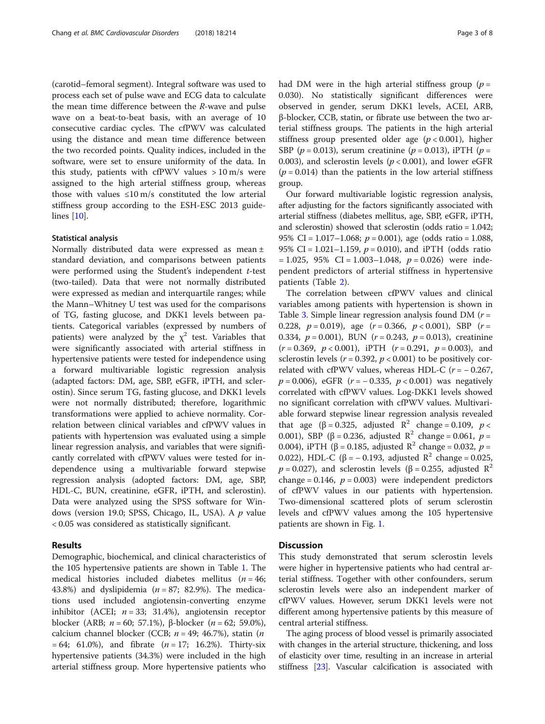(carotid–femoral segment). Integral software was used to process each set of pulse wave and ECG data to calculate the mean time difference between the R-wave and pulse wave on a beat-to-beat basis, with an average of 10 consecutive cardiac cycles. The cfPWV was calculated using the distance and mean time difference between the two recorded points. Quality indices, included in the software, were set to ensure uniformity of the data. In this study, patients with cfPWV values  $> 10 \text{ m/s}$  were assigned to the high arterial stiffness group, whereas those with values  $\leq 10 \text{ m/s}$  constituted the low arterial stiffness group according to the ESH-ESC 2013 guidelines [[10](#page-6-0)].

#### Statistical analysis

Normally distributed data were expressed as mean ± standard deviation, and comparisons between patients were performed using the Student's independent t-test (two-tailed). Data that were not normally distributed were expressed as median and interquartile ranges; while the Mann–Whitney U test was used for the comparisons of TG, fasting glucose, and DKK1 levels between patients. Categorical variables (expressed by numbers of patients) were analyzed by the  $\chi^2$  test. Variables that were significantly associated with arterial stiffness in hypertensive patients were tested for independence using a forward multivariable logistic regression analysis (adapted factors: DM, age, SBP, eGFR, iPTH, and sclerostin). Since serum TG, fasting glucose, and DKK1 levels were not normally distributed; therefore, logarithmic transformations were applied to achieve normality. Correlation between clinical variables and cfPWV values in patients with hypertension was evaluated using a simple linear regression analysis, and variables that were significantly correlated with cfPWV values were tested for independence using a multivariable forward stepwise regression analysis (adopted factors: DM, age, SBP, HDL-C, BUN, creatinine, eGFR, iPTH, and sclerostin). Data were analyzed using the SPSS software for Windows (version 19.0; SPSS, Chicago, IL, USA). A  $p$  value < 0.05 was considered as statistically significant.

#### Results

Demographic, biochemical, and clinical characteristics of the 105 hypertensive patients are shown in Table [1.](#page-3-0) The medical histories included diabetes mellitus ( $n = 46$ ; 43.8%) and dyslipidemia ( $n = 87$ ; 82.9%). The medications used included angiotensin-converting enzyme inhibitor (ACEI;  $n = 33$ ; 31.4%), angiotensin receptor blocker (ARB;  $n = 60$ ; 57.1%), β-blocker ( $n = 62$ ; 59.0%), calcium channel blocker (CCB;  $n = 49$ ; 46.7%), statin (*n*  $= 64; 61.0\%$ , and fibrate  $(n = 17; 16.2\%)$ . Thirty-six hypertensive patients (34.3%) were included in the high arterial stiffness group. More hypertensive patients who had DM were in the high arterial stiffness group ( $p =$ 0.030). No statistically significant differences were observed in gender, serum DKK1 levels, ACEI, ARB, β-blocker, CCB, statin, or fibrate use between the two arterial stiffness groups. The patients in the high arterial stiffness group presented older age  $(p < 0.001)$ , higher SBP ( $p = 0.013$ ), serum creatinine ( $p = 0.013$ ), iPTH ( $p =$ 0.003), and sclerostin levels ( $p < 0.001$ ), and lower eGFR  $(p = 0.014)$  than the patients in the low arterial stiffness group.

Our forward multivariable logistic regression analysis, after adjusting for the factors significantly associated with arterial stiffness (diabetes mellitus, age, SBP, eGFR, iPTH, and sclerostin) showed that sclerostin (odds ratio = 1.042; 95% CI =  $1.017 - 1.068$ ;  $p = 0.001$ ), age (odds ratio = 1.088, 95% CI = 1.021-1.159,  $p = 0.010$ ), and iPTH (odds ratio  $= 1.025$ , 95% CI = 1.003-1.048,  $p = 0.026$ ) were independent predictors of arterial stiffness in hypertensive patients (Table [2](#page-3-0)).

The correlation between cfPWV values and clinical variables among patients with hypertension is shown in Table [3.](#page-4-0) Simple linear regression analysis found DM  $(r =$ 0.228,  $p = 0.019$ , age  $(r = 0.366, p < 0.001)$ , SBP  $(r =$ 0.334,  $p = 0.001$ ), BUN ( $r = 0.243$ ,  $p = 0.013$ ), creatinine  $(r = 0.369, p < 0.001)$ , iPTH  $(r = 0.291, p = 0.003)$ , and sclerostin levels ( $r = 0.392$ ,  $p < 0.001$ ) to be positively correlated with cfPWV values, whereas HDL-C ( $r = -0.267$ ,  $p = 0.006$ , eGFR ( $r = -0.335$ ,  $p < 0.001$ ) was negatively correlated with cfPWV values. Log-DKK1 levels showed no significant correlation with cfPWV values. Multivariable forward stepwise linear regression analysis revealed that age ( $\beta = 0.325$ , adjusted  $R^2$  change = 0.109,  $p <$ 0.001), SBP (β = 0.236, adjusted R<sup>2</sup> change = 0.061,  $p =$ 0.004), iPTH (β = 0.185, adjusted  $\mathbb{R}^2$  change = 0.032, p = 0.022), HDL-C (β = -0.193, adjusted  $\mathbb{R}^2$  change = 0.025,  $p = 0.027$ ), and sclerostin levels ( $\beta = 0.255$ , adjusted  $\mathbb{R}^2$ change = 0.146,  $p = 0.003$ ) were independent predictors of cfPWV values in our patients with hypertension. Two-dimensional scattered plots of serum sclerostin levels and cfPWV values among the 105 hypertensive patients are shown in Fig. [1.](#page-4-0)

#### **Discussion**

This study demonstrated that serum sclerostin levels were higher in hypertensive patients who had central arterial stiffness. Together with other confounders, serum sclerostin levels were also an independent marker of cfPWV values. However, serum DKK1 levels were not different among hypertensive patients by this measure of central arterial stiffness.

The aging process of blood vessel is primarily associated with changes in the arterial structure, thickening, and loss of elasticity over time, resulting in an increase in arterial stiffness [\[23\]](#page-6-0). Vascular calcification is associated with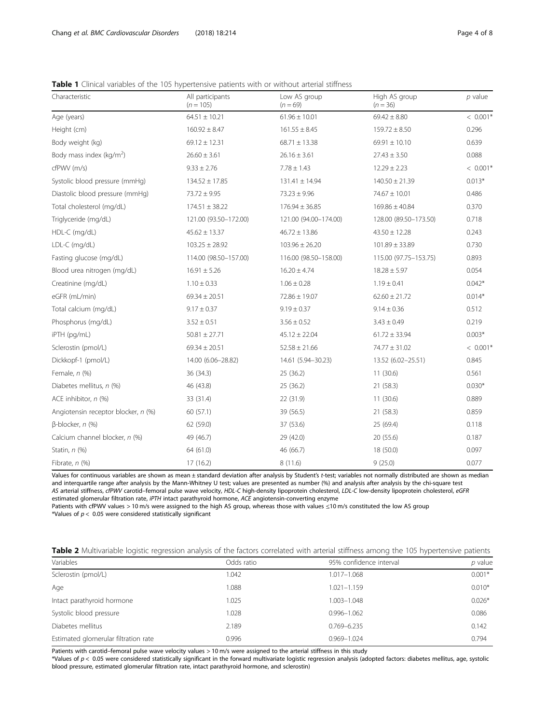<span id="page-3-0"></span>Table 1 Clinical variables of the 105 hypertensive patients with or without arterial stiffness

| Characteristic                      | All participants<br>$(n = 105)$ | Low AS group<br>$(n = 69)$ | High AS group<br>$(n = 36)$ | p value    |
|-------------------------------------|---------------------------------|----------------------------|-----------------------------|------------|
| Age (years)                         | $64.51 \pm 10.21$               |                            | $69.42 \pm 8.80$            | $< 0.001*$ |
| Height (cm)                         | $160.92 \pm 8.47$               | $161.55 \pm 8.45$          | $159.72 \pm 8.50$           | 0.296      |
| Body weight (kg)                    | $69.12 \pm 12.31$               | $68.71 \pm 13.38$          | $69.91 \pm 10.10$           | 0.639      |
| Body mass index ( $kg/m2$ )         | $26.60 \pm 3.61$                | $26.16 \pm 3.61$           | $27.43 \pm 3.50$            | 0.088      |
| cfPWV (m/s)                         | $9.33 \pm 2.76$                 | $7.78 \pm 1.43$            | $12.29 \pm 2.23$            | $< 0.001*$ |
| Systolic blood pressure (mmHg)      | $134.52 \pm 17.85$              | $131.41 \pm 14.94$         | $140.50 \pm 21.39$          | $0.013*$   |
| Diastolic blood pressure (mmHg)     | $73.72 \pm 9.95$                | $73.23 \pm 9.96$           | 74.67 ± 10.01               | 0.486      |
| Total cholesterol (mg/dL)           | $174.51 \pm 38.22$              | $176.94 \pm 36.85$         | $169.86 \pm 40.84$          | 0.370      |
| Triglyceride (mg/dL)                | 121.00 (93.50-172.00)           | 121.00 (94.00-174.00)      | 128.00 (89.50-173.50)       | 0.718      |
| HDL-C (mg/dL)                       | $45.62 \pm 13.37$               | $46.72 \pm 13.86$          | $43.50 \pm 12.28$           | 0.243      |
| LDL-C (mg/dL)                       | $103.25 \pm 28.92$              | $103.96 \pm 26.20$         | $101.89 \pm 33.89$          | 0.730      |
| Fasting glucose (mg/dL)             | 114.00 (98.50-157.00)           | 116.00 (98.50-158.00)      | 115.00 (97.75-153.75)       | 0.893      |
| Blood urea nitrogen (mg/dL)         | $16.91 \pm 5.26$                | $16.20 \pm 4.74$           | $18.28 \pm 5.97$            | 0.054      |
| Creatinine (mg/dL)                  | $1.10 \pm 0.33$                 | $1.06 \pm 0.28$            | $1.19 \pm 0.41$             | $0.042*$   |
| eGFR (mL/min)                       | $69.34 \pm 20.51$               | $72.86 \pm 19.07$          | $62.60 \pm 21.72$           | $0.014*$   |
| Total calcium (mg/dL)               | $9.17 \pm 0.37$                 | $9.19 \pm 0.37$            | $9.14 \pm 0.36$             | 0.512      |
| Phosphorus (mg/dL)                  | $3.52 \pm 0.51$                 | $3.56 \pm 0.52$            | $3.43 \pm 0.49$             | 0.219      |
| iPTH (pg/mL)                        | $50.81 \pm 27.71$               | $45.12 \pm 22.04$          | $61.72 \pm 33.94$           | $0.003*$   |
| Sclerostin (pmol/L)                 | $69.34 \pm 20.51$               | $52.58 \pm 21.66$          | $74.77 \pm 31.02$           | $< 0.001*$ |
| Dickkopf-1 (pmol/L)                 | 14.00 (6.06-28.82)              | 14.61 (5.94-30.23)         | 13.52 (6.02-25.51)          | 0.845      |
| Female, $n$ (%)                     | 36 (34.3)                       | 25 (36.2)                  | 11(30.6)                    | 0.561      |
| Diabetes mellitus, n (%)            | 46 (43.8)                       |                            | 21 (58.3)                   | $0.030*$   |
| ACE inhibitor, n (%)                | 33 (31.4)                       | 22 (31.9)                  | 11(30.6)                    | 0.889      |
| Angiotensin receptor blocker, n (%) | 60 (57.1)                       | 39 (56.5)                  | 21(58.3)                    | 0.859      |
| $\beta$ -blocker, n $(\%)$          | 62 (59.0)                       | 37 (53.6)                  | 25 (69.4)                   | 0.118      |
| Calcium channel blocker, n (%)      | 49 (46.7)                       | 29 (42.0)                  | 20 (55.6)                   | 0.187      |
| Statin, n (%)                       | 64 (61.0)                       | 46 (66.7)                  | 18 (50.0)                   | 0.097      |
| Fibrate, n (%)                      | 17(16.2)                        | 8 (11.6)                   | 9(25.0)                     | 0.077      |

Values for continuous variables are shown as mean ± standard deviation after analysis by Student's t-test; variables not normally distributed are shown as median and interquartile range after analysis by the Mann-Whitney U test; values are presented as number (%) and analysis after analysis by the chi-square test AS arterial stiffness, cfPWV carotid–femoral pulse wave velocity, HDL-C high-density lipoprotein cholesterol, LDL-C low-density lipoprotein cholesterol, eGFR estimated glomerular filtration rate, iPTH intact parathyroid hormone, ACE angiotensin-converting enzyme

Patients with cfPWV values > 10 m/s were assigned to the high AS group, whereas those with values ≤10 m/s constituted the low AS group \*Values of  $p < 0.05$  were considered statistically significant

| Table 2 Multivariable logistic regression analysis of the factors correlated with arterial stiffness among the 105 hypertensive patients |  |  |  |  |  |  |
|------------------------------------------------------------------------------------------------------------------------------------------|--|--|--|--|--|--|
|                                                                                                                                          |  |  |  |  |  |  |

| Variables                            | Odds ratio | 95% confidence interval | $p$ value |
|--------------------------------------|------------|-------------------------|-----------|
| Sclerostin (pmol/L)                  | 1.042      | 1.017-1.068             | $0.001*$  |
| Age                                  | 1.088      | $1.021 - 1.159$         | $0.010*$  |
| Intact parathyroid hormone           | 1.025      | 1.003-1.048             | $0.026*$  |
| Systolic blood pressure              | 1.028      | $0.996 - 1.062$         | 0.086     |
| Diabetes mellitus                    | 2.189      | $0.769 - 6.235$         | 0.142     |
| Estimated glomerular filtration rate | 0.996      | $0.969 - 1.024$         | 0.794     |
|                                      |            |                         |           |

Patients with carotid–femoral pulse wave velocity values > 10 m/s were assigned to the arterial stiffness in this study

\*Values of  $p < 0.05$  were considered statistically significant in the forward multivariate logistic regression analysis (adopted factors: diabetes mellitus, age, systolic blood pressure, estimated glomerular filtration rate, intact parathyroid hormone, and sclerostin)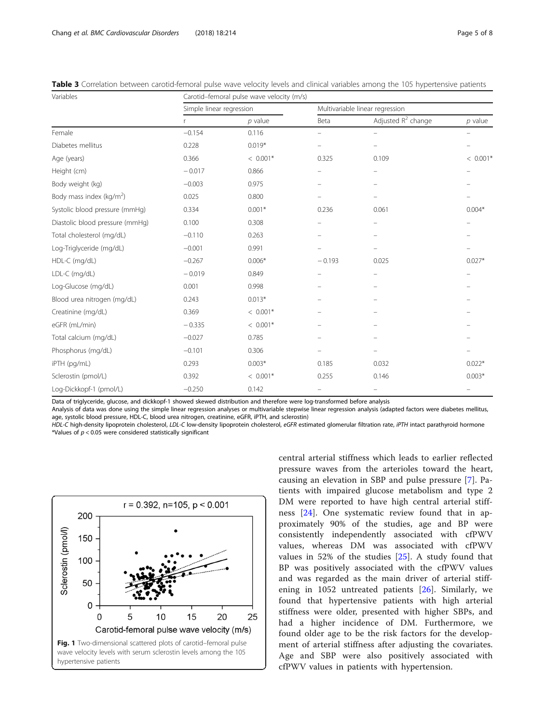<span id="page-4-0"></span>

| Table 3 Correlation between carotid-femoral pulse wave velocity levels and clinical variables among the 105 hypertensive patients |  |  |  |
|-----------------------------------------------------------------------------------------------------------------------------------|--|--|--|
|-----------------------------------------------------------------------------------------------------------------------------------|--|--|--|

| Variables                            | Carotid-femoral pulse wave velocity (m/s) |            |                                 |                       |            |  |  |
|--------------------------------------|-------------------------------------------|------------|---------------------------------|-----------------------|------------|--|--|
|                                      | Simple linear regression                  |            | Multivariable linear regression |                       |            |  |  |
|                                      |                                           | $p$ value  | Beta                            | Adjusted $R^2$ change | $p$ value  |  |  |
| Female                               | $-0.154$                                  | 0.116      |                                 |                       |            |  |  |
| Diabetes mellitus                    | 0.228                                     | $0.019*$   | $\equiv$                        |                       |            |  |  |
| Age (years)                          | 0.366                                     | $< 0.001*$ | 0.325                           | 0.109                 | $< 0.001*$ |  |  |
| Height (cm)                          | $-0.017$                                  | 0.866      |                                 |                       |            |  |  |
| Body weight (kg)                     | $-0.003$                                  | 0.975      | $\overline{\phantom{0}}$        |                       |            |  |  |
| Body mass index (kg/m <sup>2</sup> ) | 0.025                                     | 0.800      |                                 |                       |            |  |  |
| Systolic blood pressure (mmHg)       | 0.334                                     | $0.001*$   | 0.236                           | 0.061                 | $0.004*$   |  |  |
| Diastolic blood pressure (mmHg)      | 0.100                                     | 0.308      |                                 |                       |            |  |  |
| Total cholesterol (mg/dL)            | $-0.110$                                  | 0.263      |                                 |                       |            |  |  |
| Log-Triglyceride (mg/dL)             | $-0.001$                                  | 0.991      |                                 |                       |            |  |  |
| HDL-C (mg/dL)                        | $-0.267$                                  | $0.006*$   | $-0.193$                        | 0.025                 | $0.027*$   |  |  |
| LDL-C (mg/dL)                        | $-0.019$                                  | 0.849      | $\overline{\phantom{0}}$        |                       |            |  |  |
| Log-Glucose (mg/dL)                  | 0.001                                     | 0.998      |                                 |                       |            |  |  |
| Blood urea nitrogen (mg/dL)          | 0.243                                     | $0.013*$   |                                 |                       |            |  |  |
| Creatinine (mg/dL)                   | 0.369                                     | $< 0.001*$ |                                 |                       |            |  |  |
| eGFR (mL/min)                        | $-0.335$                                  | $< 0.001*$ |                                 |                       |            |  |  |
| Total calcium (mg/dL)                | $-0.027$                                  | 0.785      |                                 |                       |            |  |  |
| Phosphorus (mg/dL)                   | $-0.101$                                  | 0.306      |                                 |                       |            |  |  |
| iPTH (pg/mL)                         | 0.293                                     | $0.003*$   | 0.185                           | 0.032                 | $0.022*$   |  |  |
| Sclerostin (pmol/L)                  | 0.392                                     | $< 0.001*$ | 0.255                           | 0.146                 | $0.003*$   |  |  |
| Log-Dickkopf-1 (pmol/L)              | $-0.250$                                  | 0.142      |                                 |                       |            |  |  |

Data of triglyceride, glucose, and dickkopf-1 showed skewed distribution and therefore were log-transformed before analysis

Analysis of data was done using the simple linear regression analyses or multivariable stepwise linear regression analysis (adapted factors were diabetes mellitus, age, systolic blood pressure, HDL-C, blood urea nitrogen, creatinine, eGFR, iPTH, and sclerostin)

HDL-C high-density lipoprotein cholesterol, LDL-C low-density lipoprotein cholesterol, eGFR estimated glomerular filtration rate, iPTH intact parathyroid hormone \*Values of  $p < 0.05$  were considered statistically significant



central arterial stiffness which leads to earlier reflected pressure waves from the arterioles toward the heart, causing an elevation in SBP and pulse pressure [[7\]](#page-6-0). Patients with impaired glucose metabolism and type 2 DM were reported to have high central arterial stiffness [[24\]](#page-6-0). One systematic review found that in approximately 90% of the studies, age and BP were consistently independently associated with cfPWV values, whereas DM was associated with cfPWV values in 52% of the studies [\[25](#page-6-0)]. A study found that BP was positively associated with the cfPWV values and was regarded as the main driver of arterial stiffening in 1052 untreated patients [\[26](#page-6-0)]. Similarly, we found that hypertensive patients with high arterial stiffness were older, presented with higher SBPs, and had a higher incidence of DM. Furthermore, we found older age to be the risk factors for the development of arterial stiffness after adjusting the covariates. Age and SBP were also positively associated with cfPWV values in patients with hypertension.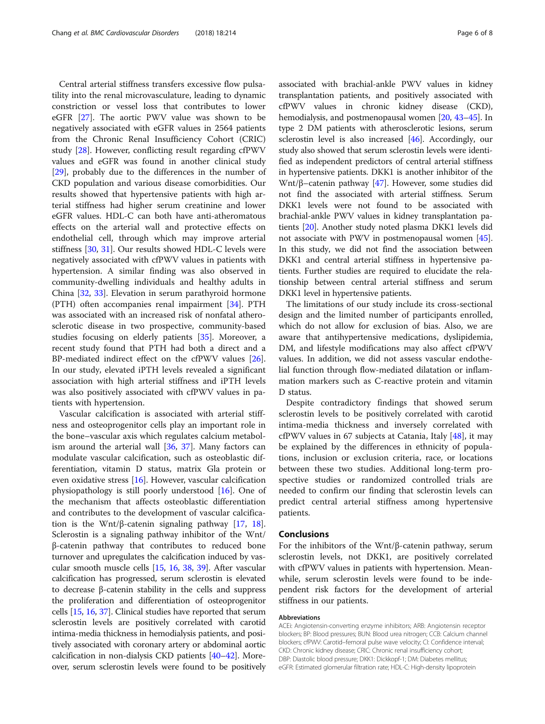Central arterial stiffness transfers excessive flow pulsatility into the renal microvasculature, leading to dynamic constriction or vessel loss that contributes to lower eGFR [\[27](#page-6-0)]. The aortic PWV value was shown to be negatively associated with eGFR values in 2564 patients from the Chronic Renal Insufficiency Cohort (CRIC) study [\[28](#page-6-0)]. However, conflicting result regarding cfPWV values and eGFR was found in another clinical study [[29\]](#page-6-0), probably due to the differences in the number of CKD population and various disease comorbidities. Our results showed that hypertensive patients with high arterial stiffness had higher serum creatinine and lower eGFR values. HDL-C can both have anti-atheromatous effects on the arterial wall and protective effects on endothelial cell, through which may improve arterial stiffness [[30](#page-7-0), [31](#page-7-0)]. Our results showed HDL-C levels were negatively associated with cfPWV values in patients with hypertension. A similar finding was also observed in community-dwelling individuals and healthy adults in China [[32](#page-7-0), [33\]](#page-7-0). Elevation in serum parathyroid hormone (PTH) often accompanies renal impairment [[34\]](#page-7-0). PTH was associated with an increased risk of nonfatal atherosclerotic disease in two prospective, community-based studies focusing on elderly patients [[35\]](#page-7-0). Moreover, a recent study found that PTH had both a direct and a BP-mediated indirect effect on the cfPWV values [\[26](#page-6-0)]. In our study, elevated iPTH levels revealed a significant association with high arterial stiffness and iPTH levels was also positively associated with cfPWV values in patients with hypertension.

Vascular calcification is associated with arterial stiffness and osteoprogenitor cells play an important role in the bone–vascular axis which regulates calcium metabolism around the arterial wall [\[36,](#page-7-0) [37](#page-7-0)]. Many factors can modulate vascular calcification, such as osteoblastic differentiation, vitamin D status, matrix Gla protein or even oxidative stress [[16\]](#page-6-0). However, vascular calcification physiopathology is still poorly understood [\[16](#page-6-0)]. One of the mechanism that affects osteoblastic differentiation and contributes to the development of vascular calcification is the Wnt/ $\beta$ -catenin signaling pathway [\[17,](#page-6-0) [18](#page-6-0)]. Sclerostin is a signaling pathway inhibitor of the Wnt/ β-catenin pathway that contributes to reduced bone turnover and upregulates the calcification induced by vascular smooth muscle cells [\[15](#page-6-0), [16](#page-6-0), [38,](#page-7-0) [39\]](#page-7-0). After vascular calcification has progressed, serum sclerostin is elevated to decrease β-catenin stability in the cells and suppress the proliferation and differentiation of osteoprogenitor cells [[15](#page-6-0), [16,](#page-6-0) [37](#page-7-0)]. Clinical studies have reported that serum sclerostin levels are positively correlated with carotid intima-media thickness in hemodialysis patients, and positively associated with coronary artery or abdominal aortic calcification in non-dialysis CKD patients [\[40](#page-7-0)–[42](#page-7-0)]. Moreover, serum sclerostin levels were found to be positively associated with brachial-ankle PWV values in kidney transplantation patients, and positively associated with cfPWV values in chronic kidney disease (CKD), hemodialysis, and postmenopausal women [\[20,](#page-6-0) [43](#page-7-0)–[45\]](#page-7-0). In type 2 DM patients with atherosclerotic lesions, serum sclerostin level is also increased [\[46\]](#page-7-0). Accordingly, our study also showed that serum sclerostin levels were identified as independent predictors of central arterial stiffness in hypertensive patients. DKK1 is another inhibitor of the Wnt/β–catenin pathway [\[47\]](#page-7-0). However, some studies did not find the associated with arterial stiffness. Serum DKK1 levels were not found to be associated with brachial-ankle PWV values in kidney transplantation patients [\[20](#page-6-0)]. Another study noted plasma DKK1 levels did not associate with PWV in postmenopausal women [[45](#page-7-0)]. In this study, we did not find the association between DKK1 and central arterial stiffness in hypertensive patients. Further studies are required to elucidate the relationship between central arterial stiffness and serum DKK1 level in hypertensive patients.

The limitations of our study include its cross-sectional design and the limited number of participants enrolled, which do not allow for exclusion of bias. Also, we are aware that antihypertensive medications, dyslipidemia, DM, and lifestyle modifications may also affect cfPWV values. In addition, we did not assess vascular endothelial function through flow-mediated dilatation or inflammation markers such as C-reactive protein and vitamin D status.

Despite contradictory findings that showed serum sclerostin levels to be positively correlated with carotid intima-media thickness and inversely correlated with cfPWV values in 67 subjects at Catania, Italy [[48\]](#page-7-0), it may be explained by the differences in ethnicity of populations, inclusion or exclusion criteria, race, or locations between these two studies. Additional long-term prospective studies or randomized controlled trials are needed to confirm our finding that sclerostin levels can predict central arterial stiffness among hypertensive patients.

#### Conclusions

For the inhibitors of the Wnt/β-catenin pathway, serum sclerostin levels, not DKK1, are positively correlated with cfPWV values in patients with hypertension. Meanwhile, serum sclerostin levels were found to be independent risk factors for the development of arterial stiffness in our patients.

#### Abbreviations

ACEi: Angiotensin-converting enzyme inhibitors; ARB: Angiotensin receptor blockers; BP: Blood pressures; BUN: Blood urea nitrogen; CCB: Calcium channel blockers; cfPWV: Carotid–femoral pulse wave velocity; CI: Confidence interval; CKD: Chronic kidney disease; CRIC: Chronic renal insufficiency cohort; DBP: Diastolic blood pressure; DKK1: Dickkopf-1; DM: Diabetes mellitus; eGFR: Estimated glomerular filtration rate; HDL-C: High-density lipoprotein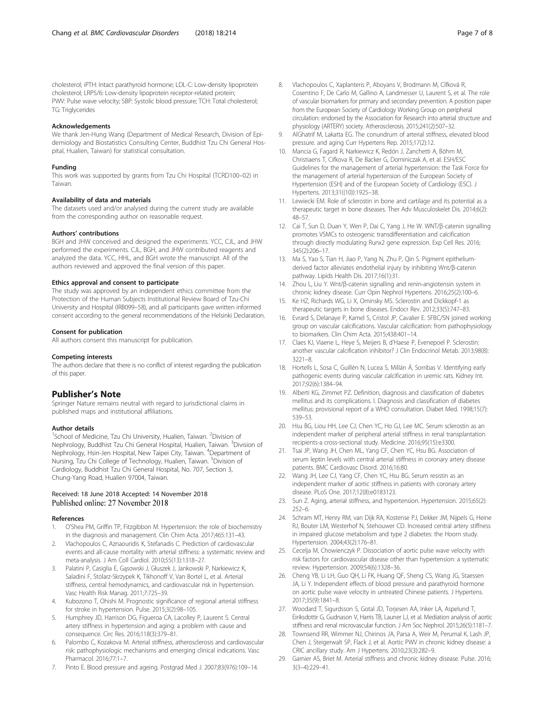<span id="page-6-0"></span>cholesterol; iPTH: Intact parathyroid hormone; LDL-C: Low-density lipoprotein cholesterol; LRP5/6: Low-density lipoprotein receptor-related protein; PWV: Pulse wave velocity; SBP: Systolic blood pressure; TCH: Total cholesterol; TG: Triglycerides

#### Acknowledgements

We thank Jen-Hung Wang (Department of Medical Research, Division of Epidemiology and Biostatistics Consulting Center, Buddhist Tzu Chi General Hospital, Hualien, Taiwan) for statistical consultation.

#### Funding

This work was supported by grants from Tzu Chi Hospital (TCRD100–02) in Taiwan.

#### Availability of data and materials

The datasets used and/or analysed during the current study are available from the corresponding author on reasonable request.

#### Authors' contributions

BGH and JHW conceived and designed the experiments. YCC, CJL, and JHW performed the experiments. CJL, BGH, and JHW contributed reagents and analyzed the data. YCC, HHL, and BGH wrote the manuscript. All of the authors reviewed and approved the final version of this paper.

#### Ethics approval and consent to participate

The study was approved by an independent ethics committee from the Protection of the Human Subjects Institutional Review Board of Tzu-Chi University and Hospital (IRB099–58), and all participants gave written informed consent according to the general recommendations of the Helsinki Declaration.

#### Consent for publication

All authors consent this manuscript for publication.

#### Competing interests

The authors declare that there is no conflict of interest regarding the publication of this paper.

#### Publisher's Note

Springer Nature remains neutral with regard to jurisdictional claims in published maps and institutional affiliations.

#### Author details

<sup>1</sup>School of Medicine, Tzu Chi University, Hualien, Taiwan. <sup>2</sup>Division of Nephrology, Buddhist Tzu Chi General Hospital, Hualien, Taiwan. <sup>3</sup>Division of Nephrology, Hsin-Jen Hospital, New Taipei City, Taiwan. <sup>4</sup>Department of Nursing, Tzu Chi College of Technology, Hualien, Taiwan. <sup>5</sup>Division of Cardiology, Buddhist Tzu Chi General Hospital, No. 707, Section 3, Chung-Yang Road, Hualien 97004, Taiwan.

#### Received: 18 June 2018 Accepted: 14 November 2018 Published online: 27 November 2018

#### References

- 1. O'Shea PM, Griffin TP, Fitzgibbon M. Hypertension: the role of biochemistry in the diagnosis and management. Clin Chim Acta. 2017;465:131–43.
- 2. Vlachopoulos C, Aznaouridis K, Stefanadis C. Prediction of cardiovascular events and all-cause mortality with arterial stiffness: a systematic review and meta-analysis. J Am Coll Cardiol. 2010;55(13):1318–27.
- Palatini P, Casiglia E, Gąsowski J, Głuszek J, Jankowski P, Narkiewicz K, Saladini F, Stolarz-Skrzypek K, Tikhonoff V, Van Bortel L, et al. Arterial stiffness, central hemodynamics, and cardiovascular risk in hypertension. Vasc Health Risk Manag. 2011;7:725–39.
- 4. Kubozono T, Ohishi M. Prognostic significance of regional arterial stiffness for stroke in hypertension. Pulse. 2015;3(2):98–105.
- 5. Humphrey JD, Harrison DG, Figueroa CA, Lacolley P, Laurent S. Central artery stiffness in hypertension and aging: a problem with cause and consequence. Circ Res. 2016;118(3):379–81.
- 6. Palombo C, Kozakova M. Arterial stiffness, atherosclerosis and cardiovascular risk: pathophysiologic mechanisms and emerging clinical indications. Vasc Pharmacol. 2016;77:1–7.
- 7. Pinto E. Blood pressure and ageing. Postgrad Med J. 2007;83(976):109–14.
- 8. Vlachopoulos C, Xaplanteris P, Aboyans V, Brodmann M, Cífková R, Cosentino F, De Carlo M, Gallino A, Landmesser U, Laurent S, et al. The role of vascular biomarkers for primary and secondary prevention. A position paper from the European Society of Cardiology Working Group on peripheral circulation: endorsed by the Association for Research into arterial structure and physiology (ARTERY) society. Atherosclerosis. 2015;241(2):507–32.
- 9. AlGhatrif M, Lakatta EG. The conundrum of arterial stiffness, elevated blood pressure. and aging Curr Hypertens Rep. 2015;17(2):12.
- 10. Mancia G, Fagard R, Narkiewicz K, Redón J, Zanchetti A, Böhm M, Christiaens T, Cifkova R, De Backer G, Dominiczak A, et al. ESH/ESC Guidelines for the management of arterial hypertension: the Task Force for the management of arterial hypertension of the European Society of Hypertension (ESH) and of the European Society of Cardiology (ESC). J Hypertens. 2013;31((10)):1925–38.
- 11. Lewiecki EM. Role of sclerostin in bone and cartilage and its potential as a therapeutic target in bone diseases. Ther Adv Musculoskelet Dis. 2014;6(2): 48–57.
- 12. Cai T, Sun D, Duan Y, Wen P, Dai C, Yang J, He W. WNT/β-catenin signalling promotes VSMCs to osteogenic transdifferentiation and calcification through directly modulating Runx2 gene expression. Exp Cell Res. 2016; 345(2):206–17.
- 13. Ma S, Yao S, Tian H, Jiao P, Yang N, Zhu P, Qin S. Pigment epitheliumderived factor alleviates endothelial injury by inhibiting Wnt/β-catenin pathway. Lipids Health Dis. 2017;16(1):31.
- 14. Zhou L, Liu Y. Wnt/β-catenin signalling and renin-angiotensin system in chronic kidney disease. Curr Opin Nephrol Hypertens. 2016;25(2):100–6.
- 15. Ke HZ, Richards WG, Li X, Ominsky MS. Sclerostin and Dickkopf-1 as therapeutic targets in bone diseases. Endocr Rev. 2012;33(5):747–83.
- 16. Evrard S, Delanaye P, Kamel S, Cristol JP, Cavalier E. SFBC/SN joined working group on vascular calcifications. Vascular calcification: from pathophysiology to biomarkers. Clin Chim Acta. 2015;438:401–14.
- 17. Claes KJ, Viaene L, Heye S, Meijers B, d'Haese P, Evenepoel P. Sclerostin: another vascular calcification inhibitor? J Clin Endocrinol Metab. 2013;98(8): 3221–8.
- 18. Hortells L, Sosa C, Guillén N, Lucea S, Millán Á, Sorribas V. Identifying early pathogenic events during vascular calcification in uremic rats. Kidney Int. 2017;92(6):1384–94.
- 19. Alberti KG, Zimmet PZ. Definition, diagnosis and classification of diabetes mellitus and its complications. I. Diagnosis and classification of diabetes mellitus: provisional report of a WHO consultation. Diabet Med. 1998;15(7): 539–53.
- 20. Hsu BG, Liou HH, Lee CJ, Chen YC, Ho GJ, Lee MC. Serum sclerostin as an independent marker of peripheral arterial stiffness in renal transplantation recipients-a cross-sectional study. Medicine. 2016;95(15):e3300.
- 21. Tsai JP, Wang JH, Chen ML, Yang CF, Chen YC, Hsu BG. Association of serum leptin levels with central arterial stiffness in coronary artery disease patients. BMC Cardiovasc Disord. 2016;16:80.
- 22. Wang JH, Lee CJ, Yang CF, Chen YC, Hsu BG. Serum resistin as an independent marker of aortic stiffness in patients with coronary artery disease. PLoS One. 2017;12(8):e0183123.
- 23. Sun Z. Aging, arterial stiffness, and hypertension. Hypertension. 2015;65(2): 252–6.
- 24. Schram MT, Henry RM, van Dijk RA, Kostense PJ, Dekker JM, Nijpels G, Heine RJ, Bouter LM, Westerhof N, Stehouwer CD. Increased central artery stiffness in impaired glucose metabolism and type 2 diabetes: the Hoorn study. Hypertension. 2004;43(2):176–81.
- 25. Cecelja M, Chowienczyk P. Dissociation of aortic pulse wave velocity with risk factors for cardiovascular disease other than hypertension: a systematic review. Hypertension. 2009;54(6):1328–36.
- 26. Cheng YB, Li LH, Guo QH, Li FK, Huang QF, Sheng CS, Wang JG, Staessen JA, Li Y. Independent effects of blood pressure and parathyroid hormone on aortic pulse wave velocity in untreated Chinese patients. J Hypertens. 2017;35(9):1841–8.
- 27. Woodard T, Sigurdsson S, Gotal JD, Torjesen AA, Inker LA, Aspelund T, Eiriksdottir G, Gudnason V, Harris TB, Launer LJ, et al. Mediation analysis of aortic stiffness and renal microvascular function. J Am Soc Nephrol. 2015;26(5):1181–7.
- 28. Townsend RR, Wimmer NJ, Chirinos JA, Parsa A, Weir M, Perumal K, Lash JP, Chen J, Steigerwalt SP, Flack J, et al. Aortic PWV in chronic kidney disease: a CRIC ancillary study. Am J Hypertens. 2010;23(3):282–9.
- 29. Garnier AS, Briet M. Arterial stiffness and chronic kidney disease. Pulse. 2016; 3(3–4):229–41.